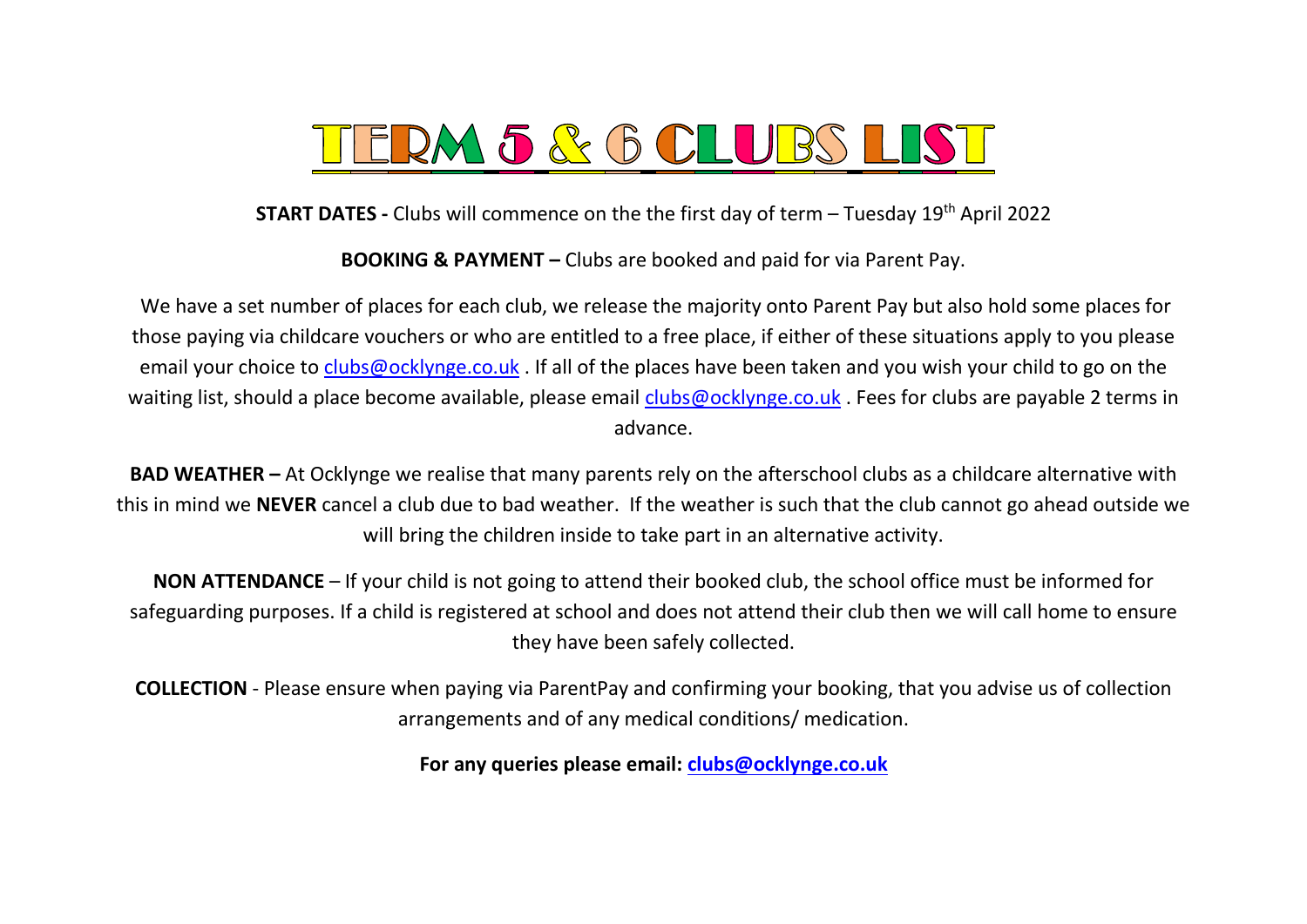

**START DATES -** Clubs will commence on the the first day of term – Tuesday 19<sup>th</sup> April 2022

**BOOKING & PAYMENT –** Clubs are booked and paid for via Parent Pay.

We have a set number of places for each club, we release the majority onto Parent Pay but also hold some places for those paying via childcare vouchers or who are entitled to a free place, if either of these situations apply to you please email your choice to [clubs@ocklynge.co.uk](mailto:clubs@ocklynge.co.uk). If all of the places have been taken and you wish your child to go on the waiting list, should a place become available, please email [clubs@ocklynge.co.uk](mailto:clubs@ocklynge.co.uk). Fees for clubs are payable 2 terms in advance.

**BAD WEATHER –** At Ocklynge we realise that many parents rely on the afterschool clubs as a childcare alternative with this in mind we **NEVER** cancel a club due to bad weather. If the weather is such that the club cannot go ahead outside we will bring the children inside to take part in an alternative activity.

**NON ATTENDANCE** – If your child is not going to attend their booked club, the school office must be informed for safeguarding purposes. If a child is registered at school and does not attend their club then we will call home to ensure they have been safely collected.

**COLLECTION** - Please ensure when paying via ParentPay and confirming your booking, that you advise us of collection arrangements and of any medical conditions/ medication.

**For any queries please email: [clubs@ocklynge.co.uk](mailto:clubs@ocklynge.co.uk)**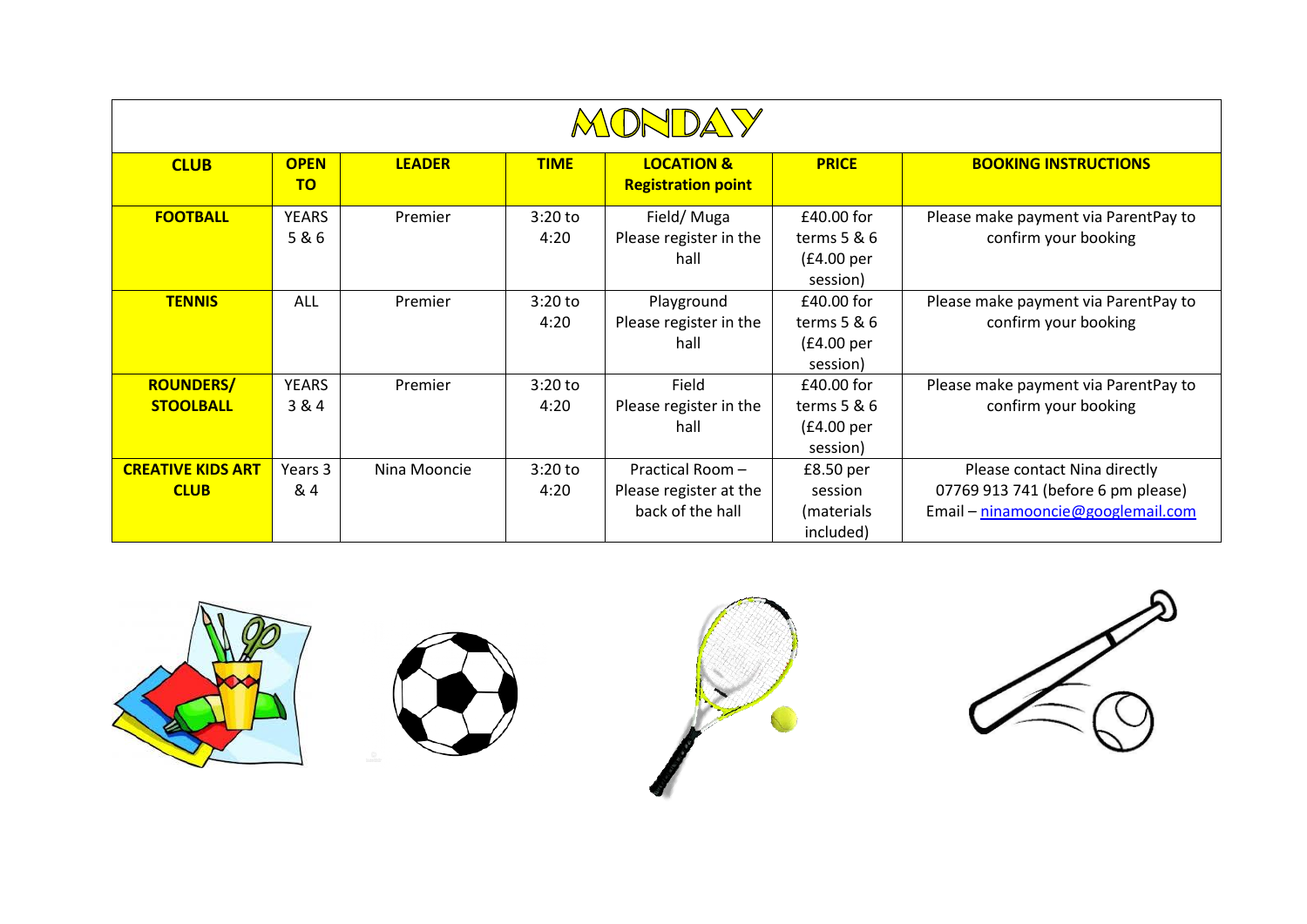| <b>MONDAY</b>                           |                          |               |                   |                                                               |                                                            |                                                                                                          |  |  |
|-----------------------------------------|--------------------------|---------------|-------------------|---------------------------------------------------------------|------------------------------------------------------------|----------------------------------------------------------------------------------------------------------|--|--|
| <b>CLUB</b>                             | <b>OPEN</b><br><b>TO</b> | <b>LEADER</b> | <b>TIME</b>       | <b>LOCATION &amp;</b><br><b>Registration point</b>            | <b>PRICE</b>                                               | <b>BOOKING INSTRUCTIONS</b>                                                                              |  |  |
| <b>FOOTBALL</b>                         | <b>YEARS</b><br>5&6      | Premier       | $3:20$ to<br>4:20 | Field/Muga<br>Please register in the<br>hall                  | £40.00 for<br>terms $5 & 6$<br>(£4.00 per<br>session)      | Please make payment via ParentPay to<br>confirm your booking                                             |  |  |
| <b>TENNIS</b>                           | <b>ALL</b>               | Premier       | $3:20$ to<br>4:20 | Playground<br>Please register in the<br>hall                  | £40.00 for<br>terms $5 & 6$<br>(£4.00 per<br>session)      | Please make payment via ParentPay to<br>confirm your booking                                             |  |  |
| <b>ROUNDERS/</b><br><b>STOOLBALL</b>    | <b>YEARS</b><br>3 & 4    | Premier       | $3:20$ to<br>4:20 | Field<br>Please register in the<br>hall                       | £40.00 for<br>terms $5 & 6$<br>(£4.00 per<br>session)      | Please make payment via ParentPay to<br>confirm your booking                                             |  |  |
| <b>CREATIVE KIDS ART</b><br><b>CLUB</b> | Years 3<br>& 4           | Nina Mooncie  | $3:20$ to<br>4:20 | Practical Room-<br>Please register at the<br>back of the hall | £8.50 <sub>per</sub><br>session<br>(materials<br>included) | Please contact Nina directly<br>07769 913 741 (before 6 pm please)<br>Email - ninamooncie@googlemail.com |  |  |

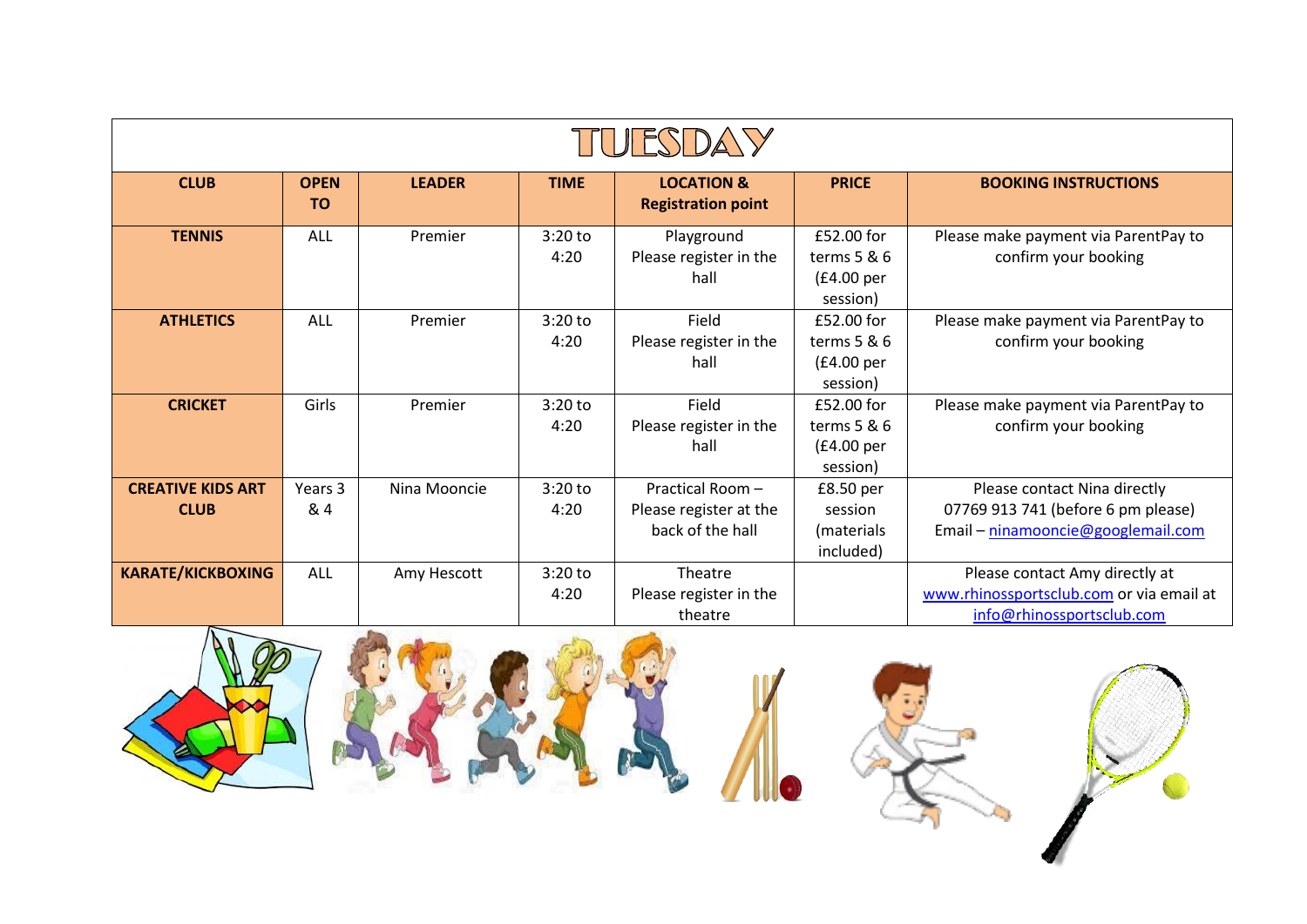| ITULESDAY                               |                          |               |                   |                                                               |                                                                      |                                                                                                          |  |
|-----------------------------------------|--------------------------|---------------|-------------------|---------------------------------------------------------------|----------------------------------------------------------------------|----------------------------------------------------------------------------------------------------------|--|
| <b>CLUB</b>                             | <b>OPEN</b><br><b>TO</b> | <b>LEADER</b> | <b>TIME</b>       | <b>LOCATION &amp;</b><br><b>Registration point</b>            | <b>PRICE</b>                                                         | <b>BOOKING INSTRUCTIONS</b>                                                                              |  |
| <b>TENNIS</b>                           | <b>ALL</b>               | Premier       | $3:20$ to<br>4:20 | Playground<br>Please register in the<br>hall                  | $f52.00$ for<br>terms $5 & 6$<br>(E4.00 <sub>per</sub> )<br>session) | Please make payment via ParentPay to<br>confirm your booking                                             |  |
| <b>ATHLETICS</b>                        | ALL                      | Premier       | $3:20$ to<br>4:20 | Field<br>Please register in the<br>hall                       | £52.00 for<br>terms $5 & 6$<br>(£4.00 per<br>session)                | Please make payment via ParentPay to<br>confirm your booking                                             |  |
| <b>CRICKET</b>                          | Girls                    | Premier       | $3:20$ to<br>4:20 | Field<br>Please register in the<br>hall                       | £52.00 for<br>terms $5 & 6$<br>(E4.00 <sub>per</sub> )<br>session)   | Please make payment via ParentPay to<br>confirm your booking                                             |  |
| <b>CREATIVE KIDS ART</b><br><b>CLUB</b> | Years 3<br>&4            | Nina Mooncie  | $3:20$ to<br>4:20 | Practical Room-<br>Please register at the<br>back of the hall | £8.50 per<br>session<br>(materials<br>included)                      | Please contact Nina directly<br>07769 913 741 (before 6 pm please)<br>Email - ninamooncie@googlemail.com |  |
| <b>KARATE/KICKBOXING</b>                | <b>ALL</b>               | Amy Hescott   | $3:20$ to<br>4:20 | Theatre<br>Please register in the<br>theatre                  |                                                                      | Please contact Amy directly at<br>www.rhinossportsclub.com or via email at<br>info@rhinossportsclub.com  |  |







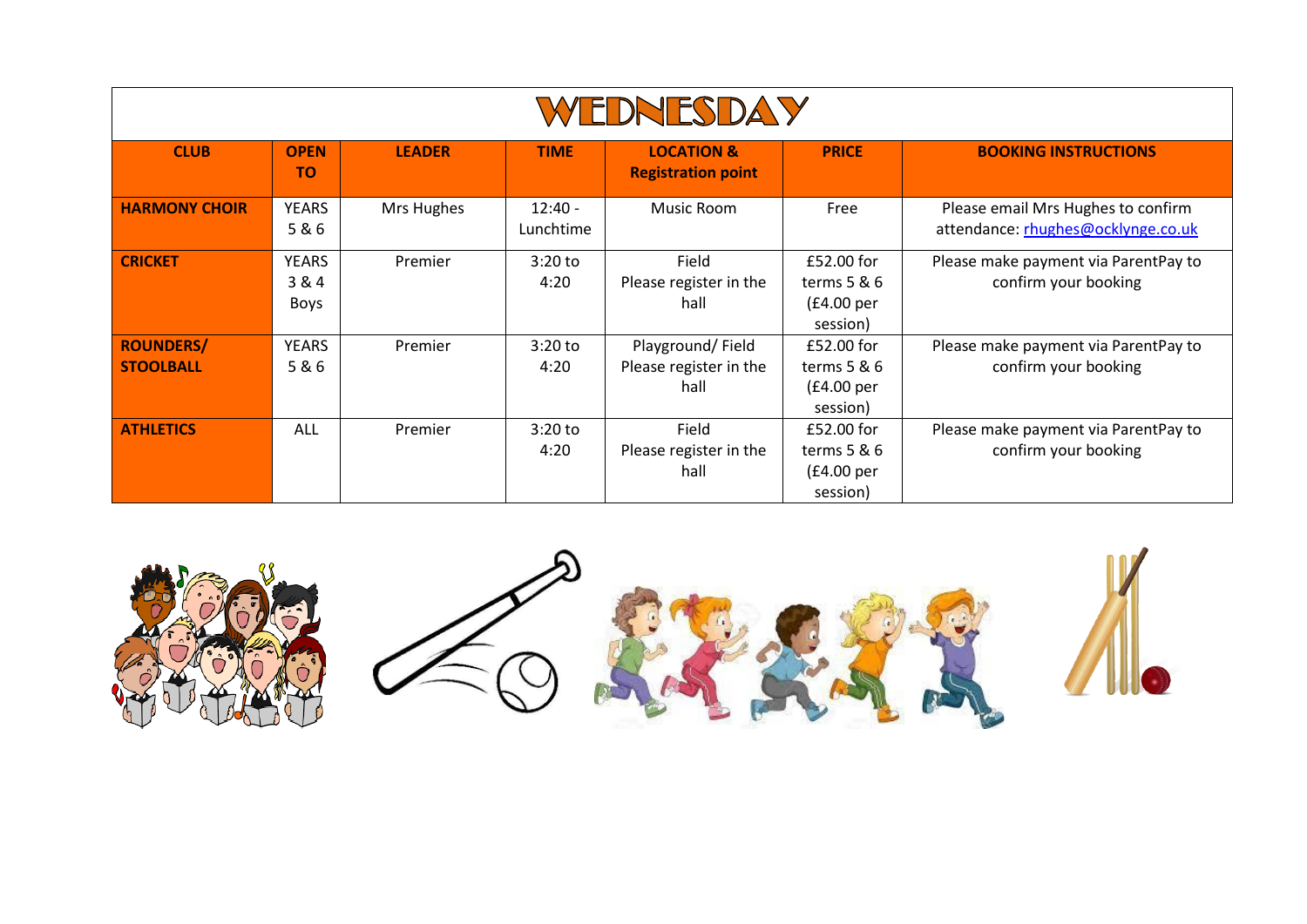| WEDNESDAY                            |                               |               |                        |                                                    |                                                                    |                                                                          |  |  |
|--------------------------------------|-------------------------------|---------------|------------------------|----------------------------------------------------|--------------------------------------------------------------------|--------------------------------------------------------------------------|--|--|
| <b>CLUB</b>                          | <b>OPEN</b><br><b>TO</b>      | <b>LEADER</b> | <b>TIME</b>            | <b>LOCATION &amp;</b><br><b>Registration point</b> | <b>PRICE</b>                                                       | <b>BOOKING INSTRUCTIONS</b>                                              |  |  |
| <b>HARMONY CHOIR</b>                 | <b>YEARS</b><br>5&6           | Mrs Hughes    | $12:40 -$<br>Lunchtime | Music Room                                         | Free                                                               | Please email Mrs Hughes to confirm<br>attendance: rhughes@ocklynge.co.uk |  |  |
| <b>CRICKET</b>                       | <b>YEARS</b><br>3 & 4<br>Boys | Premier       | $3:20$ to<br>4:20      | Field<br>Please register in the<br>hall            | £52.00 for<br>terms $5 & 6$<br>(£4.00 per<br>session)              | Please make payment via ParentPay to<br>confirm your booking             |  |  |
| <b>ROUNDERS/</b><br><b>STOOLBALL</b> | <b>YEARS</b><br>5&6           | Premier       | $3:20$ to<br>4:20      | Playground/Field<br>Please register in the<br>hall | £52.00 for<br>terms $5 & 6$<br>(E4.00 <sub>per</sub> )<br>session) | Please make payment via ParentPay to<br>confirm your booking             |  |  |
| <b>ATHLETICS</b>                     | ALL                           | Premier       | $3:20$ to<br>4:20      | Field<br>Please register in the<br>hall            | £52.00 for<br>terms $5 & 6$<br>(E4.00 <sub>per</sub> )<br>session) | Please make payment via ParentPay to<br>confirm your booking             |  |  |

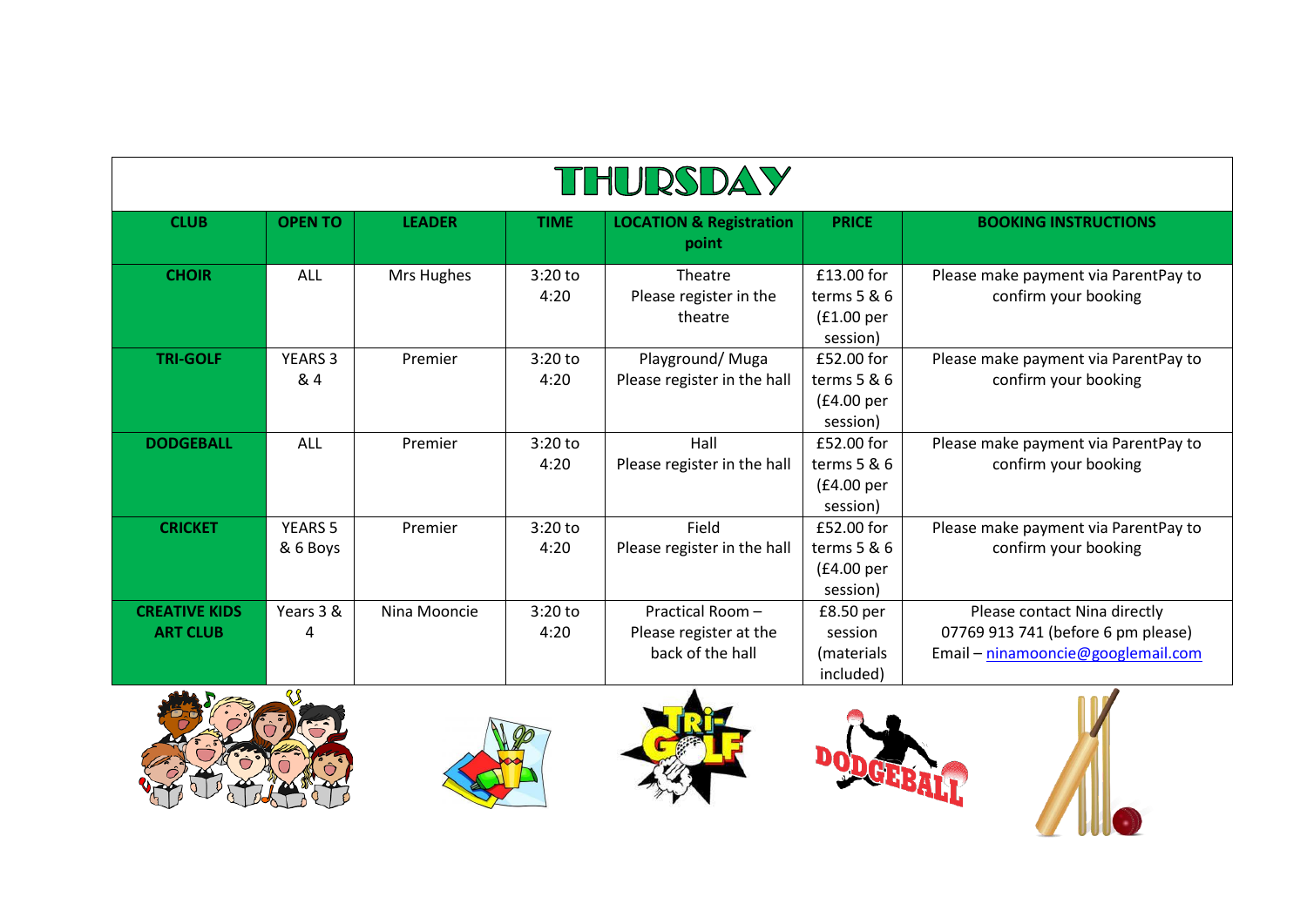| THURSDAY                                |                            |               |                   |                                                                |                                                                    |                                                                                                          |  |  |
|-----------------------------------------|----------------------------|---------------|-------------------|----------------------------------------------------------------|--------------------------------------------------------------------|----------------------------------------------------------------------------------------------------------|--|--|
| <b>CLUB</b>                             | <b>OPEN TO</b>             | <b>LEADER</b> | <b>TIME</b>       | <b>LOCATION &amp; Registration</b><br>point                    | <b>PRICE</b>                                                       | <b>BOOKING INSTRUCTIONS</b>                                                                              |  |  |
| <b>CHOIR</b>                            | <b>ALL</b>                 | Mrs Hughes    | $3:20$ to<br>4:20 | Theatre<br>Please register in the<br>theatre                   | £13.00 for<br>terms $5 & 6$<br>(E1.00 <sub>per</sub> )<br>session) | Please make payment via ParentPay to<br>confirm your booking                                             |  |  |
| <b>TRI-GOLF</b>                         | <b>YEARS 3</b><br>& 4      | Premier       | $3:20$ to<br>4:20 | Playground/ Muga<br>Please register in the hall                | £52.00 for<br>terms $5 & 6$<br>(£4.00 per<br>session)              | Please make payment via ParentPay to<br>confirm your booking                                             |  |  |
| <b>DODGEBALL</b>                        | <b>ALL</b>                 | Premier       | $3:20$ to<br>4:20 | Hall<br>Please register in the hall                            | £52.00 for<br>terms 5 & 6<br>(£4.00 per<br>session)                | Please make payment via ParentPay to<br>confirm your booking                                             |  |  |
| <b>CRICKET</b>                          | <b>YEARS 5</b><br>& 6 Boys | Premier       | $3:20$ to<br>4:20 | Field<br>Please register in the hall                           | £52.00 for<br>terms $5 & 6$<br>(£4.00 per<br>session)              | Please make payment via ParentPay to<br>confirm your booking                                             |  |  |
| <b>CREATIVE KIDS</b><br><b>ART CLUB</b> | Years 3 &<br>4             | Nina Mooncie  | $3:20$ to<br>4:20 | Practical Room -<br>Please register at the<br>back of the hall | £8.50 per<br>session<br>(materials)<br>included)                   | Please contact Nina directly<br>07769 913 741 (before 6 pm please)<br>Email - ninamooncie@googlemail.com |  |  |